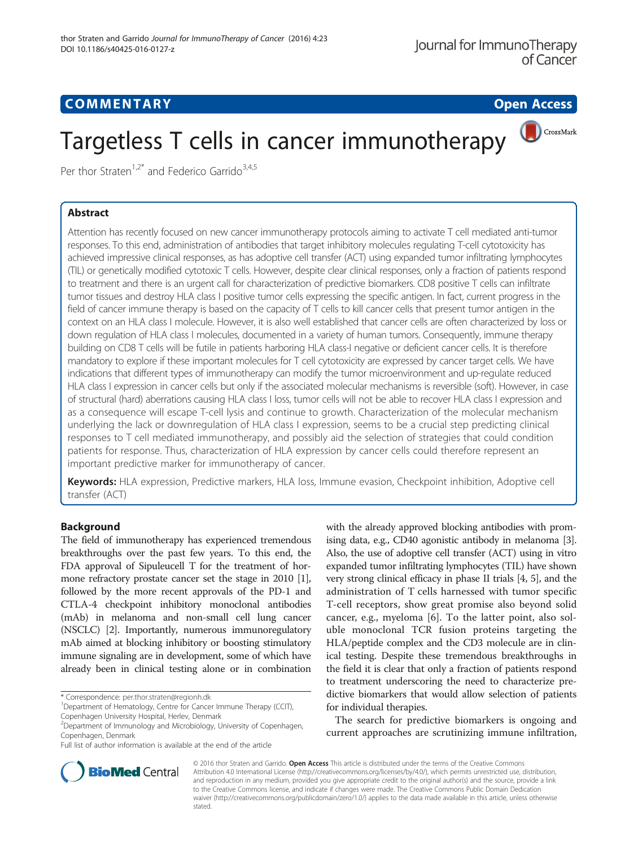## **COMMENTARY COMMENTARY Open Access**

# Targetless T cells in cancer immunotherapy



Per thor Straten<sup>1,2\*</sup> and Federico Garrido<sup>3,4,5</sup>

## Abstract

Attention has recently focused on new cancer immunotherapy protocols aiming to activate T cell mediated anti-tumor responses. To this end, administration of antibodies that target inhibitory molecules regulating T-cell cytotoxicity has achieved impressive clinical responses, as has adoptive cell transfer (ACT) using expanded tumor infiltrating lymphocytes (TIL) or genetically modified cytotoxic T cells. However, despite clear clinical responses, only a fraction of patients respond to treatment and there is an urgent call for characterization of predictive biomarkers. CD8 positive T cells can infiltrate tumor tissues and destroy HLA class I positive tumor cells expressing the specific antigen. In fact, current progress in the field of cancer immune therapy is based on the capacity of T cells to kill cancer cells that present tumor antigen in the context on an HLA class I molecule. However, it is also well established that cancer cells are often characterized by loss or down regulation of HLA class I molecules, documented in a variety of human tumors. Consequently, immune therapy building on CD8 T cells will be futile in patients harboring HLA class-I negative or deficient cancer cells. It is therefore mandatory to explore if these important molecules for T cell cytotoxicity are expressed by cancer target cells. We have indications that different types of immunotherapy can modify the tumor microenvironment and up-regulate reduced HLA class I expression in cancer cells but only if the associated molecular mechanisms is reversible (soft). However, in case of structural (hard) aberrations causing HLA class I loss, tumor cells will not be able to recover HLA class I expression and as a consequence will escape T-cell lysis and continue to growth. Characterization of the molecular mechanism underlying the lack or downregulation of HLA class I expression, seems to be a crucial step predicting clinical responses to T cell mediated immunotherapy, and possibly aid the selection of strategies that could condition patients for response. Thus, characterization of HLA expression by cancer cells could therefore represent an important predictive marker for immunotherapy of cancer.

Keywords: HLA expression, Predictive markers, HLA loss, Immune evasion, Checkpoint inhibition, Adoptive cell transfer (ACT)

## Background

The field of immunotherapy has experienced tremendous breakthroughs over the past few years. To this end, the FDA approval of Sipuleucell T for the treatment of hormone refractory prostate cancer set the stage in 2010 [[1](#page-3-0)], followed by the more recent approvals of the PD-1 and CTLA-4 checkpoint inhibitory monoclonal antibodies (mAb) in melanoma and non-small cell lung cancer (NSCLC) [[2\]](#page-3-0). Importantly, numerous immunoregulatory mAb aimed at blocking inhibitory or boosting stimulatory immune signaling are in development, some of which have already been in clinical testing alone or in combination

with the already approved blocking antibodies with promising data, e.g., CD40 agonistic antibody in melanoma [[3](#page-3-0)]. Also, the use of adoptive cell transfer (ACT) using in vitro expanded tumor infiltrating lymphocytes (TIL) have shown very strong clinical efficacy in phase II trials [[4, 5](#page-3-0)], and the administration of T cells harnessed with tumor specific T-cell receptors, show great promise also beyond solid cancer, e.g., myeloma [\[6](#page-3-0)]. To the latter point, also soluble monoclonal TCR fusion proteins targeting the HLA/peptide complex and the CD3 molecule are in clinical testing. Despite these tremendous breakthroughs in the field it is clear that only a fraction of patients respond to treatment underscoring the need to characterize predictive biomarkers that would allow selection of patients for individual therapies.

The search for predictive biomarkers is ongoing and current approaches are scrutinizing immune infiltration,



© 2016 thor Straten and Garrido. Open Access This article is distributed under the terms of the Creative Commons Attribution 4.0 International License [\(http://creativecommons.org/licenses/by/4.0/](http://creativecommons.org/licenses/by/4.0/)), which permits unrestricted use, distribution, and reproduction in any medium, provided you give appropriate credit to the original author(s) and the source, provide a link to the Creative Commons license, and indicate if changes were made. The Creative Commons Public Domain Dedication waiver [\(http://creativecommons.org/publicdomain/zero/1.0/\)](http://creativecommons.org/publicdomain/zero/1.0/) applies to the data made available in this article, unless otherwise stated

<sup>\*</sup> Correspondence: [per.thor.straten@regionh.dk](mailto:per.thor.straten@regionh.dk) <sup>1</sup>

Department of Hematology, Centre for Cancer Immune Therapy (CCIT),

Copenhagen University Hospital, Herlev, Denmark

<sup>&</sup>lt;sup>2</sup> Department of Immunology and Microbiology, University of Copenhagen, Copenhagen, Denmark

Full list of author information is available at the end of the article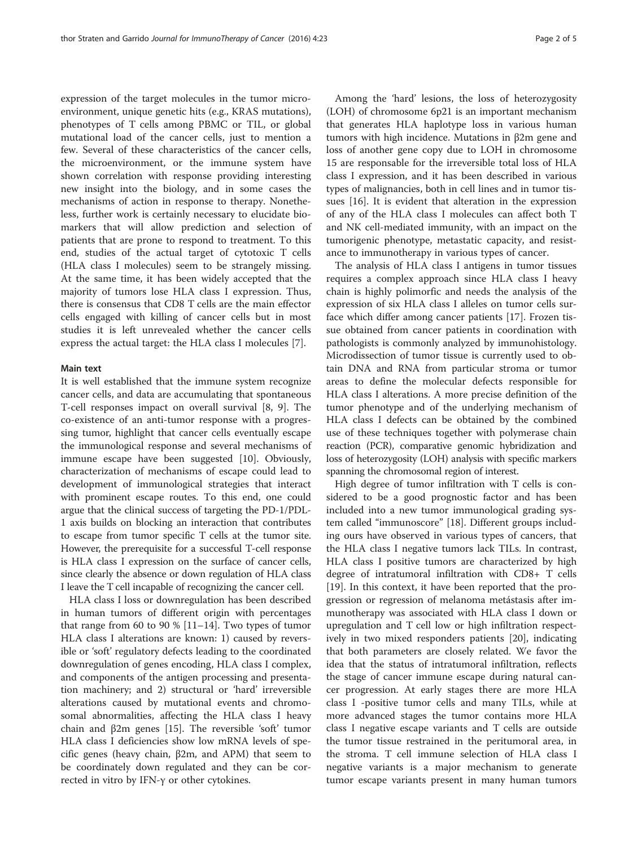expression of the target molecules in the tumor microenvironment, unique genetic hits (e.g., KRAS mutations), phenotypes of T cells among PBMC or TIL, or global mutational load of the cancer cells, just to mention a few. Several of these characteristics of the cancer cells, the microenvironment, or the immune system have shown correlation with response providing interesting new insight into the biology, and in some cases the mechanisms of action in response to therapy. Nonetheless, further work is certainly necessary to elucidate biomarkers that will allow prediction and selection of patients that are prone to respond to treatment. To this end, studies of the actual target of cytotoxic T cells (HLA class I molecules) seem to be strangely missing. At the same time, it has been widely accepted that the majority of tumors lose HLA class I expression. Thus, there is consensus that CD8 T cells are the main effector cells engaged with killing of cancer cells but in most studies it is left unrevealed whether the cancer cells express the actual target: the HLA class I molecules [[7\]](#page-3-0).

#### Main text

It is well established that the immune system recognize cancer cells, and data are accumulating that spontaneous T-cell responses impact on overall survival [[8, 9](#page-3-0)]. The co-existence of an anti-tumor response with a progressing tumor, highlight that cancer cells eventually escape the immunological response and several mechanisms of immune escape have been suggested [\[10](#page-3-0)]. Obviously, characterization of mechanisms of escape could lead to development of immunological strategies that interact with prominent escape routes. To this end, one could argue that the clinical success of targeting the PD-1/PDL-1 axis builds on blocking an interaction that contributes to escape from tumor specific T cells at the tumor site. However, the prerequisite for a successful T-cell response is HLA class I expression on the surface of cancer cells, since clearly the absence or down regulation of HLA class I leave the T cell incapable of recognizing the cancer cell.

HLA class I loss or downregulation has been described in human tumors of different origin with percentages that range from 60 to 90  $\%$  [[11](#page-3-0)–[14](#page-3-0)]. Two types of tumor HLA class I alterations are known: 1) caused by reversible or 'soft' regulatory defects leading to the coordinated downregulation of genes encoding, HLA class I complex, and components of the antigen processing and presentation machinery; and 2) structural or 'hard' irreversible alterations caused by mutational events and chromosomal abnormalities, affecting the HLA class I heavy chain and β2m genes [\[15\]](#page-3-0). The reversible 'soft' tumor HLA class I deficiencies show low mRNA levels of specific genes (heavy chain, β2m, and APM) that seem to be coordinately down regulated and they can be corrected in vitro by IFN-γ or other cytokines.

Among the 'hard' lesions, the loss of heterozygosity (LOH) of chromosome 6p21 is an important mechanism that generates HLA haplotype loss in various human tumors with high incidence. Mutations in β2m gene and loss of another gene copy due to LOH in chromosome 15 are responsable for the irreversible total loss of HLA class I expression, and it has been described in various types of malignancies, both in cell lines and in tumor tissues [\[16](#page-3-0)]. It is evident that alteration in the expression of any of the HLA class I molecules can affect both T and NK cell-mediated immunity, with an impact on the tumorigenic phenotype, metastatic capacity, and resistance to immunotherapy in various types of cancer.

The analysis of HLA class I antigens in tumor tissues requires a complex approach since HLA class I heavy chain is highly polimorfic and needs the analysis of the expression of six HLA class I alleles on tumor cells surface which differ among cancer patients [[17\]](#page-3-0). Frozen tissue obtained from cancer patients in coordination with pathologists is commonly analyzed by immunohistology. Microdissection of tumor tissue is currently used to obtain DNA and RNA from particular stroma or tumor areas to define the molecular defects responsible for HLA class I alterations. A more precise definition of the tumor phenotype and of the underlying mechanism of HLA class I defects can be obtained by the combined use of these techniques together with polymerase chain reaction (PCR), comparative genomic hybridization and loss of heterozygosity (LOH) analysis with specific markers spanning the chromosomal region of interest.

High degree of tumor infiltration with T cells is considered to be a good prognostic factor and has been included into a new tumor immunological grading system called "immunoscore" [\[18](#page-3-0)]. Different groups including ours have observed in various types of cancers, that the HLA class I negative tumors lack TILs. In contrast, HLA class I positive tumors are characterized by high degree of intratumoral infiltration with CD8+ T cells [[19\]](#page-3-0). In this context, it have been reported that the progression or regression of melanoma metástasis after immunotherapy was associated with HLA class I down or upregulation and T cell low or high infiltration respectively in two mixed responders patients [[20](#page-4-0)], indicating that both parameters are closely related. We favor the idea that the status of intratumoral infiltration, reflects the stage of cancer immune escape during natural cancer progression. At early stages there are more HLA class I -positive tumor cells and many TILs, while at more advanced stages the tumor contains more HLA class I negative escape variants and T cells are outside the tumor tissue restrained in the peritumoral area, in the stroma. T cell immune selection of HLA class I negative variants is a major mechanism to generate tumor escape variants present in many human tumors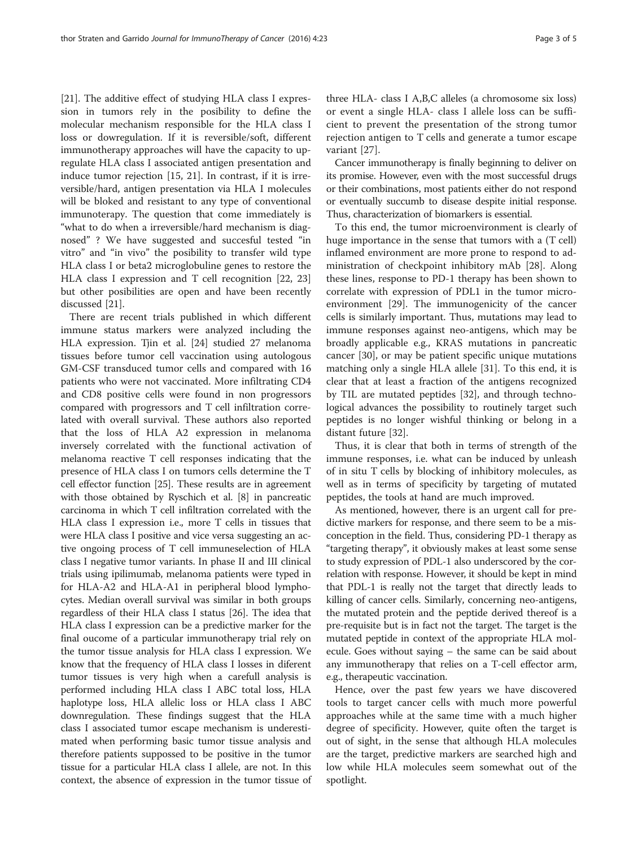regulate HLA class I associated antigen presentation and induce tumor rejection [[15,](#page-3-0) [21](#page-4-0)]. In contrast, if it is irreversible/hard, antigen presentation via HLA I molecules will be bloked and resistant to any type of conventional immunoterapy. The question that come immediately is "what to do when a irreversible/hard mechanism is diagnosed" ? We have suggested and succesful tested "in vitro" and "in vivo" the posibility to transfer wild type HLA class I or beta2 microglobuline genes to restore the HLA class I expression and T cell recognition [\[22](#page-4-0), [23](#page-4-0)] but other posibilities are open and have been recently discussed [\[21](#page-4-0)].

There are recent trials published in which different immune status markers were analyzed including the HLA expression. Tjin et al. [\[24](#page-4-0)] studied 27 melanoma tissues before tumor cell vaccination using autologous GM-CSF transduced tumor cells and compared with 16 patients who were not vaccinated. More infiltrating CD4 and CD8 positive cells were found in non progressors compared with progressors and T cell infiltration correlated with overall survival. These authors also reported that the loss of HLA A2 expression in melanoma inversely correlated with the functional activation of melanoma reactive T cell responses indicating that the presence of HLA class I on tumors cells determine the T cell effector function [\[25\]](#page-4-0). These results are in agreement with those obtained by Ryschich et al. [[8\]](#page-3-0) in pancreatic carcinoma in which T cell infiltration correlated with the HLA class I expression i.e., more T cells in tissues that were HLA class I positive and vice versa suggesting an active ongoing process of T cell immuneselection of HLA class I negative tumor variants. In phase II and III clinical trials using ipilimumab, melanoma patients were typed in for HLA-A2 and HLA-A1 in peripheral blood lymphocytes. Median overall survival was similar in both groups regardless of their HLA class I status [[26](#page-4-0)]. The idea that HLA class I expression can be a predictive marker for the final oucome of a particular immunotherapy trial rely on the tumor tissue analysis for HLA class I expression. We know that the frequency of HLA class I losses in diferent tumor tissues is very high when a carefull analysis is performed including HLA class I ABC total loss, HLA haplotype loss, HLA allelic loss or HLA class I ABC downregulation. These findings suggest that the HLA class I associated tumor escape mechanism is underestimated when performing basic tumor tissue analysis and therefore patients suppossed to be positive in the tumor tissue for a particular HLA class I allele, are not. In this context, the absence of expression in the tumor tissue of

three HLA- class I A,B,C alleles (a chromosome six loss) or event a single HLA- class I allele loss can be sufficient to prevent the presentation of the strong tumor rejection antigen to T cells and generate a tumor escape variant [[27\]](#page-4-0).

Cancer immunotherapy is finally beginning to deliver on its promise. However, even with the most successful drugs or their combinations, most patients either do not respond or eventually succumb to disease despite initial response. Thus, characterization of biomarkers is essential.

To this end, the tumor microenvironment is clearly of huge importance in the sense that tumors with a (T cell) inflamed environment are more prone to respond to administration of checkpoint inhibitory mAb [\[28\]](#page-4-0). Along these lines, response to PD-1 therapy has been shown to correlate with expression of PDL1 in the tumor microenvironment [[29](#page-4-0)]. The immunogenicity of the cancer cells is similarly important. Thus, mutations may lead to immune responses against neo-antigens, which may be broadly applicable e.g., KRAS mutations in pancreatic cancer [[30\]](#page-4-0), or may be patient specific unique mutations matching only a single HLA allele [[31\]](#page-4-0). To this end, it is clear that at least a fraction of the antigens recognized by TIL are mutated peptides [[32](#page-4-0)], and through technological advances the possibility to routinely target such peptides is no longer wishful thinking or belong in a distant future [\[32](#page-4-0)].

Thus, it is clear that both in terms of strength of the immune responses, i.e. what can be induced by unleash of in situ T cells by blocking of inhibitory molecules, as well as in terms of specificity by targeting of mutated peptides, the tools at hand are much improved.

As mentioned, however, there is an urgent call for predictive markers for response, and there seem to be a misconception in the field. Thus, considering PD-1 therapy as "targeting therapy", it obviously makes at least some sense to study expression of PDL-1 also underscored by the correlation with response. However, it should be kept in mind that PDL-1 is really not the target that directly leads to killing of cancer cells. Similarly, concerning neo-antigens, the mutated protein and the peptide derived thereof is a pre-requisite but is in fact not the target. The target is the mutated peptide in context of the appropriate HLA molecule. Goes without saying – the same can be said about any immunotherapy that relies on a T-cell effector arm, e.g., therapeutic vaccination.

Hence, over the past few years we have discovered tools to target cancer cells with much more powerful approaches while at the same time with a much higher degree of specificity. However, quite often the target is out of sight, in the sense that although HLA molecules are the target, predictive markers are searched high and low while HLA molecules seem somewhat out of the spotlight.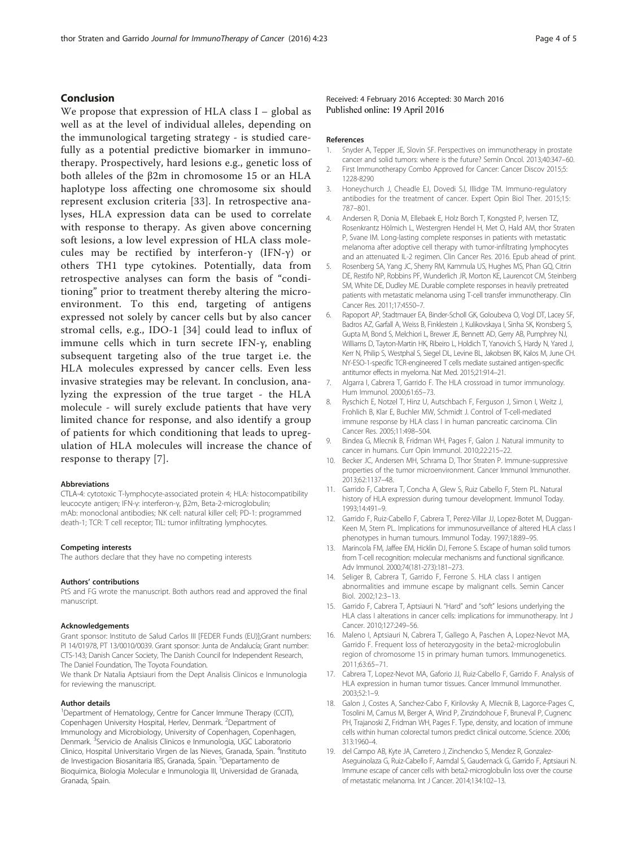### <span id="page-3-0"></span>Conclusion

We propose that expression of HLA class  $I$  – global as well as at the level of individual alleles, depending on the immunological targeting strategy - is studied carefully as a potential predictive biomarker in immunotherapy. Prospectively, hard lesions e.g., genetic loss of both alleles of the β2m in chromosome 15 or an HLA haplotype loss affecting one chromosome six should represent exclusion criteria [\[33](#page-4-0)]. In retrospective analyses, HLA expression data can be used to correlate with response to therapy. As given above concerning soft lesions, a low level expression of HLA class molecules may be rectified by interferon-γ (IFN-γ) or others TH1 type cytokines. Potentially, data from retrospective analyses can form the basis of "conditioning" prior to treatment thereby altering the microenvironment. To this end, targeting of antigens expressed not solely by cancer cells but by also cancer stromal cells, e.g., IDO-1 [[34](#page-4-0)] could lead to influx of immune cells which in turn secrete IFN-γ, enabling subsequent targeting also of the true target i.e. the HLA molecules expressed by cancer cells. Even less invasive strategies may be relevant. In conclusion, analyzing the expression of the true target - the HLA molecule - will surely exclude patients that have very limited chance for response, and also identify a group of patients for which conditioning that leads to upregulation of HLA molecules will increase the chance of response to therapy [7].

#### Abbreviations

CTLA-4: cytotoxic T-lymphocyte-associated protein 4; HLA: histocompatibility leucocyte antigen; IFN-γ: interferon-γ, β2m, Beta-2-microglobulin; mAb: monoclonal antibodies; NK cell: natural killer cell; PD-1: programmed death-1; TCR: T cell receptor; TIL: tumor infiltrating lymphocytes.

#### Competing interests

The authors declare that they have no competing interests

#### Authors' contributions

PtS and FG wrote the manuscript. Both authors read and approved the final manuscript.

#### Acknowledgements

Grant sponsor: Instituto de Salud Carlos III [FEDER Funds (EU)];Grant numbers: PI 14/01978, PT 13/0010/0039. Grant sponsor: Junta de Andalucía; Grant number: CTS-143; Danish Cancer Society, The Danish Council for Independent Research, The Daniel Foundation, The Toyota Foundation.

We thank Dr Natalia Aptsiauri from the Dept Analisis Clinicos e Inmunologia for reviewing the manuscript.

#### Author details

<sup>1</sup>Department of Hematology, Centre for Cancer Immune Therapy (CCIT), Copenhagen University Hospital, Herlev, Denmark. <sup>2</sup>Department of Immunology and Microbiology, University of Copenhagen, Copenhagen, Denmark. <sup>3</sup> Servicio de Analisis Clinicos e Inmunologia, UGC Laboratorio Clinico, Hospital Universitario Virgen de las Nieves, Granada, Spain. <sup>4</sup>Instituto de Investigacion Biosanitaria IBS, Granada, Spain. <sup>5</sup>Departamento de Bioquimica, Biologia Molecular e Inmunologia III, Universidad de Granada, Granada, Spain.

Received: 4 February 2016 Accepted: 30 March 2016 Published online: 19 April 2016

#### References

- 1. Snyder A, Tepper JE, Slovin SF. Perspectives on immunotherapy in prostate cancer and solid tumors: where is the future? Semin Oncol. 2013;40:347–60.
- 2. First Immunotherapy Combo Approved for Cancer: Cancer Discov 2015;5: 1228-8290
- 3. Honeychurch J, Cheadle EJ, Dovedi SJ, Illidge TM. Immuno-regulatory antibodies for the treatment of cancer. Expert Opin Biol Ther. 2015;15: 787–801.
- 4. Andersen R, Donia M, Ellebaek E, Holz Borch T, Kongsted P, Iversen TZ, Rosenkrantz Hölmich L, Westergren Hendel H, Met O, Hald AM, thor Straten P, Svane IM. Long-lasting complete responses in patients with metastatic melanoma after adoptive cell therapy with tumor-infiltrating lymphocytes and an attenuated IL-2 regimen. Clin Cancer Res. 2016. Epub ahead of print.
- 5. Rosenberg SA, Yang JC, Sherry RM, Kammula US, Hughes MS, Phan GQ, Citrin DE, Restifo NP, Robbins PF, Wunderlich JR, Morton KE, Laurencot CM, Steinberg SM, White DE, Dudley ME. Durable complete responses in heavily pretreated patients with metastatic melanoma using T-cell transfer immunotherapy. Clin Cancer Res. 2011;17:4550–7.
- 6. Rapoport AP, Stadtmauer EA, Binder-Scholl GK, Goloubeva O, Vogl DT, Lacey SF, Badros AZ, Garfall A, Weiss B, Finklestein J, Kulikovskaya I, Sinha SK, Kronsberg S, Gupta M, Bond S, Melchiori L, Brewer JE, Bennett AD, Gerry AB, Pumphrey NJ, Williams D, Tayton-Martin HK, Ribeiro L, Holdich T, Yanovich S, Hardy N, Yared J, Kerr N, Philip S, Westphal S, Siegel DL, Levine BL, Jakobsen BK, Kalos M, June CH. NY-ESO-1-specific TCR-engineered T cells mediate sustained antigen-specific antitumor effects in myeloma. Nat Med. 2015;21:914–21.
- 7. Algarra I, Cabrera T, Garrido F. The HLA crossroad in tumor immunology. Hum Immunol. 2000;61:65–73.
- 8. Ryschich E, Notzel T, Hinz U, Autschbach F, Ferguson J, Simon I, Weitz J, Frohlich B, Klar E, Buchler MW, Schmidt J. Control of T-cell-mediated immune response by HLA class I in human pancreatic carcinoma. Clin Cancer Res. 2005;11:498–504.
- 9. Bindea G, Mlecnik B, Fridman WH, Pages F, Galon J. Natural immunity to cancer in humans. Curr Opin Immunol. 2010;22:215–22.
- 10. Becker JC, Andersen MH, Schrama D, Thor Straten P. Immune-suppressive properties of the tumor microenvironment. Cancer Immunol Immunother. 2013;62:1137–48.
- 11. Garrido F, Cabrera T, Concha A, Glew S, Ruiz Cabello F, Stern PL. Natural history of HLA expression during tumour development. Immunol Today. 1993;14:491–9.
- 12. Garrido F, Ruiz-Cabello F, Cabrera T, Perez-Villar JJ, Lopez-Botet M, Duggan-Keen M, Stern PL. Implications for immunosurveillance of altered HLA class I phenotypes in human tumours. Immunol Today. 1997;18:89–95.
- 13. Marincola FM, Jaffee EM, Hicklin DJ, Ferrone S. Escape of human solid tumors from T-cell recognition: molecular mechanisms and functional significance. Adv Immunol. 2000;74(181-273):181–273.
- 14. Seliger B, Cabrera T, Garrido F, Ferrone S. HLA class I antigen abnormalities and immune escape by malignant cells. Semin Cancer Biol. 2002;12:3–13.
- 15. Garrido F, Cabrera T, Aptsiauri N. "Hard" and "soft" lesions underlying the HLA class I alterations in cancer cells: implications for immunotherapy. Int J Cancer. 2010;127:249–56.
- 16. Maleno I, Aptsiauri N, Cabrera T, Gallego A, Paschen A, Lopez-Nevot MA, Garrido F. Frequent loss of heterozygosity in the beta2-microglobulin region of chromosome 15 in primary human tumors. Immunogenetics. 2011;63:65–71.
- 17. Cabrera T, Lopez-Nevot MA, Gaforio JJ, Ruiz-Cabello F, Garrido F. Analysis of HLA expression in human tumor tissues. Cancer Immunol Immunother. 2003;52:1–9.
- 18. Galon J, Costes A, Sanchez-Cabo F, Kirilovsky A, Mlecnik B, Lagorce-Pages C, Tosolini M, Camus M, Berger A, Wind P, Zinzindohoue F, Bruneval P, Cugnenc PH, Trajanoski Z, Fridman WH, Pages F. Type, density, and location of immune cells within human colorectal tumors predict clinical outcome. Science. 2006; 313:1960–4.
- 19. del Campo AB, Kyte JA, Carretero J, Zinchencko S, Mendez R, Gonzalez-Aseguinolaza G, Ruiz-Cabello F, Aamdal S, Gaudernack G, Garrido F, Aptsiauri N. Immune escape of cancer cells with beta2-microglobulin loss over the course of metastatic melanoma. Int J Cancer. 2014;134:102–13.